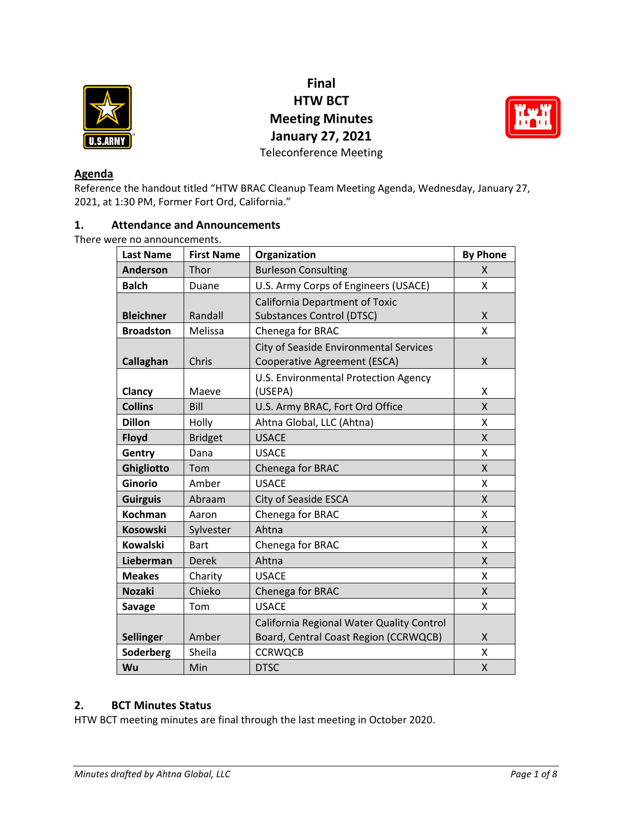

# **Final HTW BCT Meeting Minutes January 27, 2021**



Teleconference Meeting

## **Agenda**

Reference the handout titled "HTW BRAC Cleanup Team Meeting Agenda, Wednesday, January 27, 2021, at 1:30 PM, Former Fort Ord, California."

# **1. Attendance and Announcements**

There were no announcements.

| <b>Last Name</b> | <b>First Name</b> | Organization                                                                       | <b>By Phone</b> |
|------------------|-------------------|------------------------------------------------------------------------------------|-----------------|
| <b>Anderson</b>  | Thor              | <b>Burleson Consulting</b>                                                         | X               |
| <b>Balch</b>     | Duane             | U.S. Army Corps of Engineers (USACE)                                               | X               |
| <b>Bleichner</b> | Randall           | <b>California Department of Toxic</b><br><b>Substances Control (DTSC)</b>          | Χ               |
| <b>Broadston</b> | Melissa           | Chenega for BRAC                                                                   | X               |
| Callaghan        | Chris             | City of Seaside Environmental Services<br>Cooperative Agreement (ESCA)             | Χ               |
| Clancy           | Maeve             | U.S. Environmental Protection Agency<br>(USEPA)                                    | x               |
| <b>Collins</b>   | Bill              | U.S. Army BRAC, Fort Ord Office                                                    | X               |
| <b>Dillon</b>    | Holly             | Ahtna Global, LLC (Ahtna)                                                          | X               |
| <b>Floyd</b>     | <b>Bridget</b>    | <b>USACE</b>                                                                       | X               |
| Gentry           | Dana              | <b>USACE</b>                                                                       | x               |
| Ghigliotto       | Tom               | Chenega for BRAC                                                                   | X               |
| <b>Ginorio</b>   | Amber             | <b>USACE</b>                                                                       | X               |
| <b>Guirguis</b>  | Abraam            | City of Seaside ESCA                                                               | X               |
| <b>Kochman</b>   | Aaron             | Chenega for BRAC                                                                   | X               |
| <b>Kosowski</b>  | Sylvester         | Ahtna                                                                              | X               |
| <b>Kowalski</b>  | <b>Bart</b>       | Chenega for BRAC                                                                   | X               |
| Lieberman        | <b>Derek</b>      | Ahtna                                                                              | X               |
| <b>Meakes</b>    | Charity           | <b>USACE</b>                                                                       | X               |
| <b>Nozaki</b>    | Chieko            | Chenega for BRAC                                                                   | X               |
| <b>Savage</b>    | Tom               | <b>USACE</b>                                                                       | X               |
| <b>Sellinger</b> | Amber             | California Regional Water Quality Control<br>Board, Central Coast Region (CCRWQCB) | Χ               |
| Soderberg        | Sheila            | <b>CCRWQCB</b>                                                                     | X               |
| Wu               | Min               | <b>DTSC</b>                                                                        | X               |

## **2. BCT Minutes Status**

HTW BCT meeting minutes are final through the last meeting in October 2020.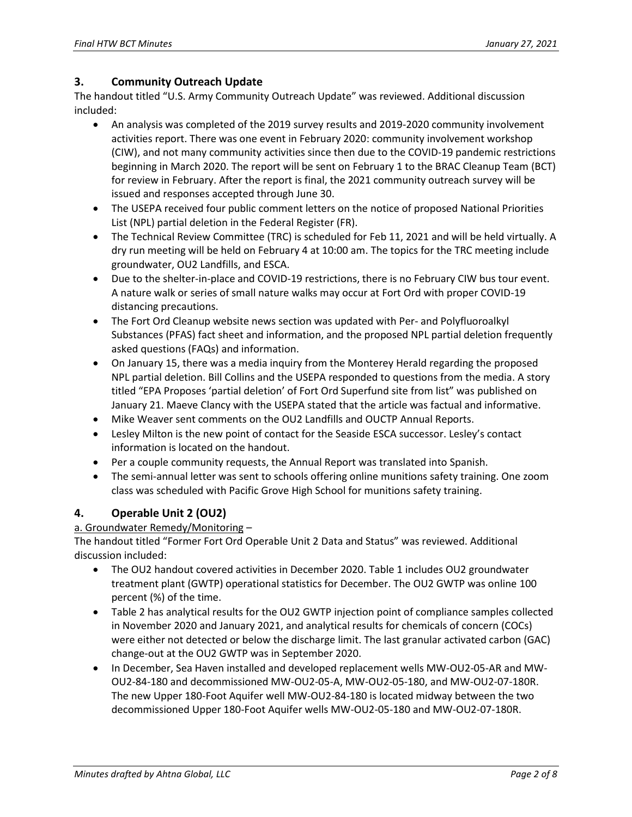## **3. Community Outreach Update**

The handout titled "U.S. Army Community Outreach Update" was reviewed. Additional discussion included:

- An analysis was completed of the 2019 survey results and 2019-2020 community involvement activities report. There was one event in February 2020: community involvement workshop (CIW), and not many community activities since then due to the COVID-19 pandemic restrictions beginning in March 2020. The report will be sent on February 1 to the BRAC Cleanup Team (BCT) for review in February. After the report is final, the 2021 community outreach survey will be issued and responses accepted through June 30.
- The USEPA received four public comment letters on the notice of proposed National Priorities List (NPL) partial deletion in the Federal Register (FR).
- The Technical Review Committee (TRC) is scheduled for Feb 11, 2021 and will be held virtually. A dry run meeting will be held on February 4 at 10:00 am. The topics for the TRC meeting include groundwater, OU2 Landfills, and ESCA.
- Due to the shelter-in-place and COVID-19 restrictions, there is no February CIW bus tour event. A nature walk or series of small nature walks may occur at Fort Ord with proper COVID-19 distancing precautions.
- The Fort Ord Cleanup website news section was updated with Per- and Polyfluoroalkyl Substances (PFAS) fact sheet and information, and the proposed NPL partial deletion frequently asked questions (FAQs) and information.
- On January 15, there was a media inquiry from the Monterey Herald regarding the proposed NPL partial deletion. Bill Collins and the USEPA responded to questions from the media. A story titled "EPA Proposes 'partial deletion' of Fort Ord Superfund site from list" was published on January 21. Maeve Clancy with the USEPA stated that the article was factual and informative.
- Mike Weaver sent comments on the OU2 Landfills and OUCTP Annual Reports.
- Lesley Milton is the new point of contact for the Seaside ESCA successor. Lesley's contact information is located on the handout.
- Per a couple community requests, the Annual Report was translated into Spanish.
- The semi-annual letter was sent to schools offering online munitions safety training. One zoom class was scheduled with Pacific Grove High School for munitions safety training.

# **4. Operable Unit 2 (OU2)**

a. Groundwater Remedy/Monitoring –

The handout titled "Former Fort Ord Operable Unit 2 Data and Status" was reviewed. Additional discussion included:

- The OU2 handout covered activities in December 2020. Table 1 includes OU2 groundwater treatment plant (GWTP) operational statistics for December. The OU2 GWTP was online 100 percent (%) of the time.
- Table 2 has analytical results for the OU2 GWTP injection point of compliance samples collected in November 2020 and January 2021, and analytical results for chemicals of concern (COCs) were either not detected or below the discharge limit. The last granular activated carbon (GAC) change-out at the OU2 GWTP was in September 2020.
- In December, Sea Haven installed and developed replacement wells MW-OU2-05-AR and MW-OU2-84-180 and decommissioned MW-OU2-05-A, MW-OU2-05-180, and MW-OU2-07-180R. The new Upper 180-Foot Aquifer well MW-OU2-84-180 is located midway between the two decommissioned Upper 180-Foot Aquifer wells MW-OU2-05-180 and MW-OU2-07-180R.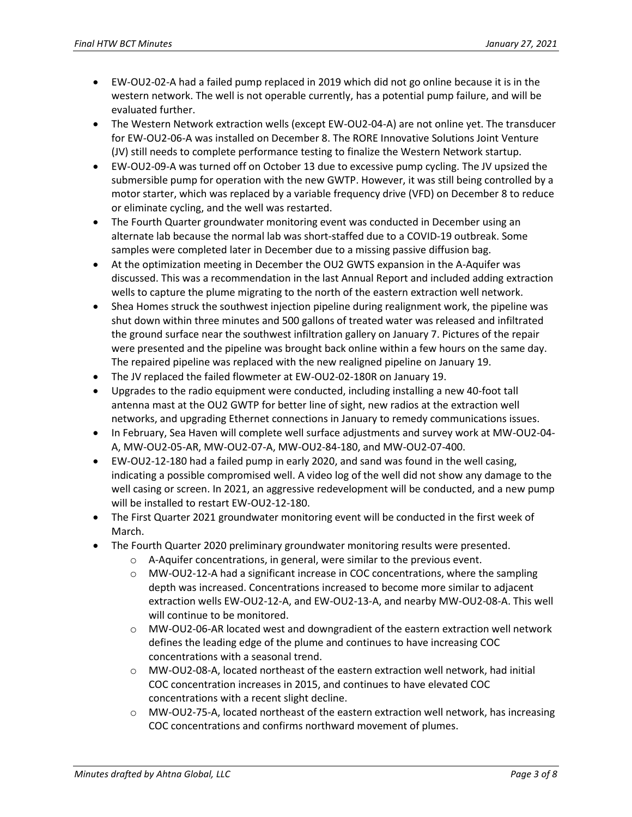- EW-OU2-02-A had a failed pump replaced in 2019 which did not go online because it is in the western network. The well is not operable currently, has a potential pump failure, and will be evaluated further.
- The Western Network extraction wells (except EW-OU2-04-A) are not online yet. The transducer for EW-OU2-06-A was installed on December 8. The RORE Innovative Solutions Joint Venture (JV) still needs to complete performance testing to finalize the Western Network startup.
- EW-OU2-09-A was turned off on October 13 due to excessive pump cycling. The JV upsized the submersible pump for operation with the new GWTP. However, it was still being controlled by a motor starter, which was replaced by a variable frequency drive (VFD) on December 8 to reduce or eliminate cycling, and the well was restarted.
- The Fourth Quarter groundwater monitoring event was conducted in December using an alternate lab because the normal lab was short-staffed due to a COVID-19 outbreak. Some samples were completed later in December due to a missing passive diffusion bag.
- At the optimization meeting in December the OU2 GWTS expansion in the A-Aquifer was discussed. This was a recommendation in the last Annual Report and included adding extraction wells to capture the plume migrating to the north of the eastern extraction well network.
- Shea Homes struck the southwest injection pipeline during realignment work, the pipeline was shut down within three minutes and 500 gallons of treated water was released and infiltrated the ground surface near the southwest infiltration gallery on January 7. Pictures of the repair were presented and the pipeline was brought back online within a few hours on the same day. The repaired pipeline was replaced with the new realigned pipeline on January 19.
- The JV replaced the failed flowmeter at EW-OU2-02-180R on January 19.
- Upgrades to the radio equipment were conducted, including installing a new 40-foot tall antenna mast at the OU2 GWTP for better line of sight, new radios at the extraction well networks, and upgrading Ethernet connections in January to remedy communications issues.
- In February, Sea Haven will complete well surface adjustments and survey work at MW-OU2-04-A, MW-OU2-05-AR, MW-OU2-07-A, MW-OU2-84-180, and MW-OU2-07-400.
- EW-OU2-12-180 had a failed pump in early 2020, and sand was found in the well casing, indicating a possible compromised well. A video log of the well did not show any damage to the well casing or screen. In 2021, an aggressive redevelopment will be conducted, and a new pump will be installed to restart EW-OU2-12-180.
- The First Quarter 2021 groundwater monitoring event will be conducted in the first week of March.
- The Fourth Quarter 2020 preliminary groundwater monitoring results were presented.
	- o A-Aquifer concentrations, in general, were similar to the previous event.
	- o MW-OU2-12-A had a significant increase in COC concentrations, where the sampling depth was increased. Concentrations increased to become more similar to adjacent extraction wells EW-OU2-12-A, and EW-OU2-13-A, and nearby MW-OU2-08-A. This well will continue to be monitored.
	- o MW-OU2-06-AR located west and downgradient of the eastern extraction well network defines the leading edge of the plume and continues to have increasing COC concentrations with a seasonal trend.
	- o MW-OU2-08-A, located northeast of the eastern extraction well network, had initial COC concentration increases in 2015, and continues to have elevated COC concentrations with a recent slight decline.
	- $\circ$  MW-OU2-75-A, located northeast of the eastern extraction well network, has increasing COC concentrations and confirms northward movement of plumes.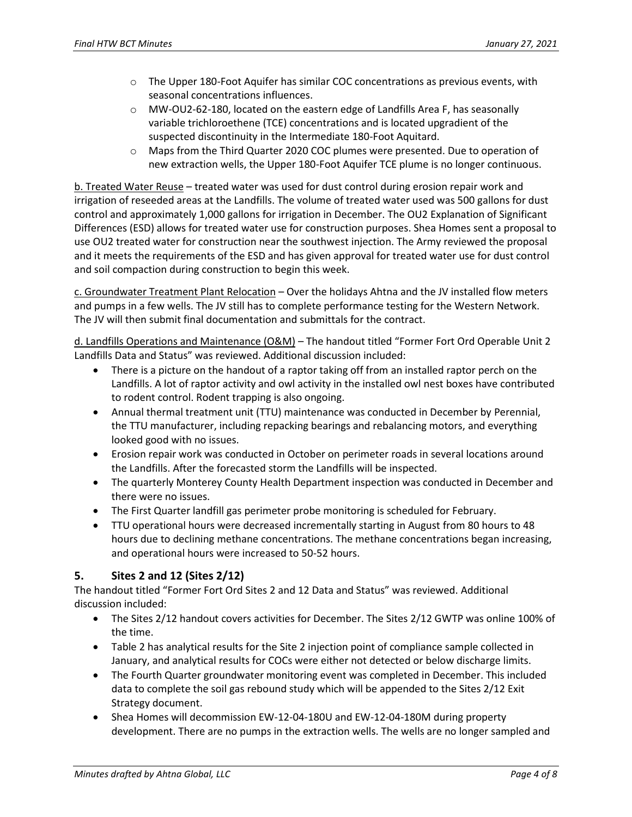- $\circ$  The Upper 180-Foot Aquifer has similar COC concentrations as previous events, with seasonal concentrations influences.
- o MW-OU2-62-180, located on the eastern edge of Landfills Area F, has seasonally variable trichloroethene (TCE) concentrations and is located upgradient of the suspected discontinuity in the Intermediate 180-Foot Aquitard.
- o Maps from the Third Quarter 2020 COC plumes were presented. Due to operation of new extraction wells, the Upper 180-Foot Aquifer TCE plume is no longer continuous.

b. Treated Water Reuse – treated water was used for dust control during erosion repair work and irrigation of reseeded areas at the Landfills. The volume of treated water used was 500 gallons for dust control and approximately 1,000 gallons for irrigation in December. The OU2 Explanation of Significant Differences (ESD) allows for treated water use for construction purposes. Shea Homes sent a proposal to use OU2 treated water for construction near the southwest injection. The Army reviewed the proposal and it meets the requirements of the ESD and has given approval for treated water use for dust control and soil compaction during construction to begin this week.

c. Groundwater Treatment Plant Relocation – Over the holidays Ahtna and the JV installed flow meters and pumps in a few wells. The JV still has to complete performance testing for the Western Network. The JV will then submit final documentation and submittals for the contract.

d. Landfills Operations and Maintenance (O&M) – The handout titled "Former Fort Ord Operable Unit 2 Landfills Data and Status" was reviewed. Additional discussion included:

- There is a picture on the handout of a raptor taking off from an installed raptor perch on the Landfills. A lot of raptor activity and owl activity in the installed owl nest boxes have contributed to rodent control. Rodent trapping is also ongoing.
- Annual thermal treatment unit (TTU) maintenance was conducted in December by Perennial, the TTU manufacturer, including repacking bearings and rebalancing motors, and everything looked good with no issues.
- Erosion repair work was conducted in October on perimeter roads in several locations around the Landfills. After the forecasted storm the Landfills will be inspected.
- The quarterly Monterey County Health Department inspection was conducted in December and there were no issues.
- The First Quarter landfill gas perimeter probe monitoring is scheduled for February.
- TTU operational hours were decreased incrementally starting in August from 80 hours to 48 hours due to declining methane concentrations. The methane concentrations began increasing, and operational hours were increased to 50-52 hours.

# **5. Sites 2 and 12 (Sites 2/12)**

The handout titled "Former Fort Ord Sites 2 and 12 Data and Status" was reviewed. Additional discussion included:

- The Sites 2/12 handout covers activities for December. The Sites 2/12 GWTP was online 100% of the time.
- Table 2 has analytical results for the Site 2 injection point of compliance sample collected in January, and analytical results for COCs were either not detected or below discharge limits.
- The Fourth Quarter groundwater monitoring event was completed in December. This included data to complete the soil gas rebound study which will be appended to the Sites 2/12 Exit Strategy document.
- Shea Homes will decommission EW-12-04-180U and EW-12-04-180M during property development. There are no pumps in the extraction wells. The wells are no longer sampled and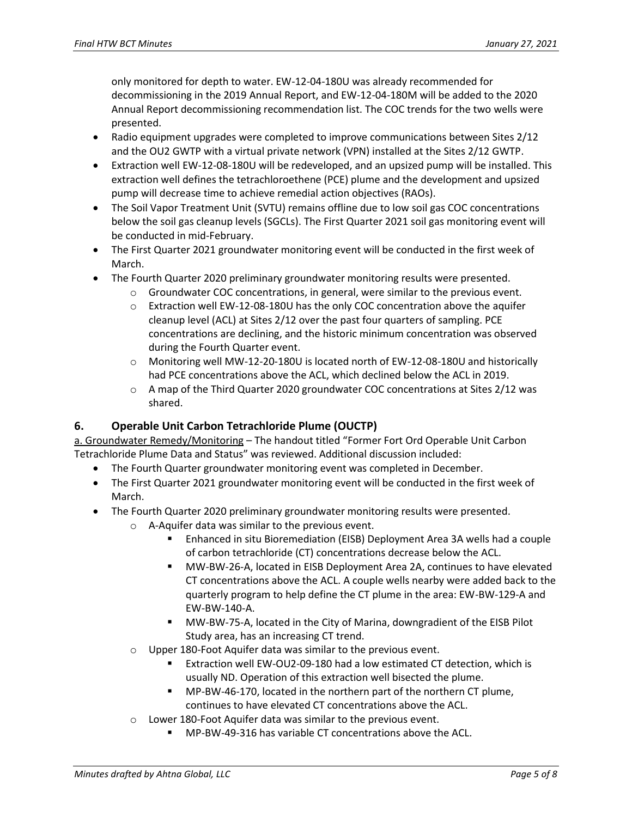only monitored for depth to water. EW-12-04-180U was already recommended for decommissioning in the 2019 Annual Report, and EW-12-04-180M will be added to the 2020 Annual Report decommissioning recommendation list. The COC trends for the two wells were presented.

- Radio equipment upgrades were completed to improve communications between Sites 2/12 and the OU2 GWTP with a virtual private network (VPN) installed at the Sites 2/12 GWTP.
- Extraction well EW-12-08-180U will be redeveloped, and an upsized pump will be installed. This extraction well defines the tetrachloroethene (PCE) plume and the development and upsized pump will decrease time to achieve remedial action objectives (RAOs).
- The Soil Vapor Treatment Unit (SVTU) remains offline due to low soil gas COC concentrations below the soil gas cleanup levels (SGCLs). The First Quarter 2021 soil gas monitoring event will be conducted in mid-February.
- The First Quarter 2021 groundwater monitoring event will be conducted in the first week of March.
- The Fourth Quarter 2020 preliminary groundwater monitoring results were presented.
	- $\circ$  Groundwater COC concentrations, in general, were similar to the previous event.
	- $\circ$  Extraction well EW-12-08-180U has the only COC concentration above the aquifer cleanup level (ACL) at Sites 2/12 over the past four quarters of sampling. PCE concentrations are declining, and the historic minimum concentration was observed during the Fourth Quarter event.
	- $\circ$  Monitoring well MW-12-20-180U is located north of EW-12-08-180U and historically had PCE concentrations above the ACL, which declined below the ACL in 2019.
	- $\circ$  A map of the Third Quarter 2020 groundwater COC concentrations at Sites 2/12 was shared.

### **6. Operable Unit Carbon Tetrachloride Plume (OUCTP)**

a. Groundwater Remedy/Monitoring - The handout titled "Former Fort Ord Operable Unit Carbon Tetrachloride Plume Data and Status" was reviewed. Additional discussion included:

- The Fourth Quarter groundwater monitoring event was completed in December.
- The First Quarter 2021 groundwater monitoring event will be conducted in the first week of March.
- The Fourth Quarter 2020 preliminary groundwater monitoring results were presented.
	- o A-Aquifer data was similar to the previous event.
		- Enhanced in situ Bioremediation (EISB) Deployment Area 3A wells had a couple of carbon tetrachloride (CT) concentrations decrease below the ACL.
		- MW-BW-26-A, located in EISB Deployment Area 2A, continues to have elevated CT concentrations above the ACL. A couple wells nearby were added back to the quarterly program to help define the CT plume in the area: EW-BW-129-A and EW-BW-140-A.
		- MW-BW-75-A, located in the City of Marina, downgradient of the EISB Pilot Study area, has an increasing CT trend.
	- o Upper 180-Foot Aquifer data was similar to the previous event.
		- Extraction well EW-OU2-09-180 had a low estimated CT detection, which is usually ND. Operation of this extraction well bisected the plume.
		- MP-BW-46-170, located in the northern part of the northern CT plume, continues to have elevated CT concentrations above the ACL.
	- o Lower 180-Foot Aquifer data was similar to the previous event.
		- MP-BW-49-316 has variable CT concentrations above the ACL.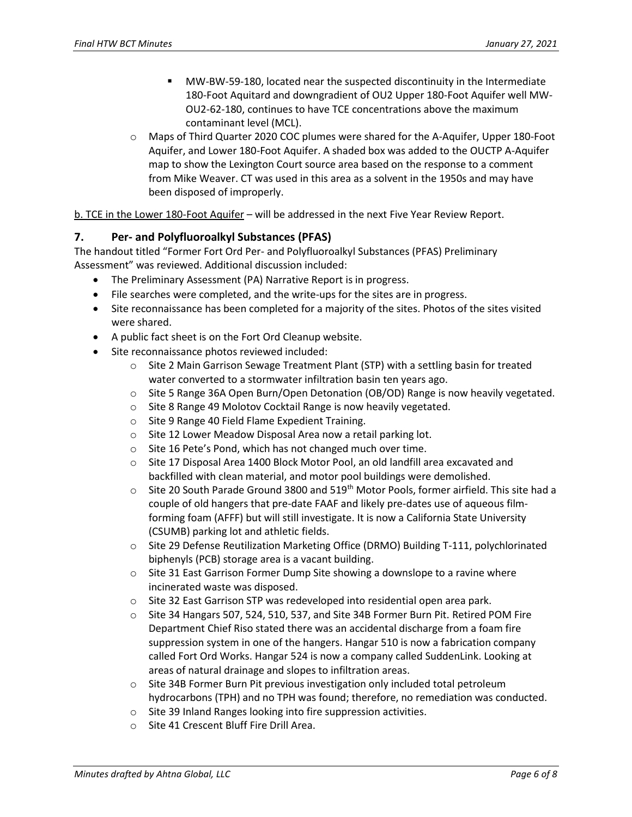- MW-BW-59-180, located near the suspected discontinuity in the Intermediate 180-Foot Aquitard and downgradient of OU2 Upper 180-Foot Aquifer well MW-OU2-62-180, continues to have TCE concentrations above the maximum contaminant level (MCL).
- o Maps of Third Quarter 2020 COC plumes were shared for the A-Aquifer, Upper 180-Foot Aquifer, and Lower 180-Foot Aquifer. A shaded box was added to the OUCTP A-Aquifer map to show the Lexington Court source area based on the response to a comment from Mike Weaver. CT was used in this area as a solvent in the 1950s and may have been disposed of improperly.

b. TCE in the Lower 180-Foot Aquifer – will be addressed in the next Five Year Review Report.

### **7. Per- and Polyfluoroalkyl Substances (PFAS)**

The handout titled "Former Fort Ord Per- and Polyfluoroalkyl Substances (PFAS) Preliminary Assessment" was reviewed. Additional discussion included:

- The Preliminary Assessment (PA) Narrative Report is in progress.
- File searches were completed, and the write-ups for the sites are in progress.
- Site reconnaissance has been completed for a majority of the sites. Photos of the sites visited were shared.
- A public fact sheet is on the Fort Ord Cleanup website.
- Site reconnaissance photos reviewed included:
	- $\circ$  Site 2 Main Garrison Sewage Treatment Plant (STP) with a settling basin for treated water converted to a stormwater infiltration basin ten years ago.
	- $\circ$  Site 5 Range 36A Open Burn/Open Detonation (OB/OD) Range is now heavily vegetated.
	- o Site 8 Range 49 Molotov Cocktail Range is now heavily vegetated.
	- o Site 9 Range 40 Field Flame Expedient Training.
	- o Site 12 Lower Meadow Disposal Area now a retail parking lot.
	- o Site 16 Pete's Pond, which has not changed much over time.
	- $\circ$  Site 17 Disposal Area 1400 Block Motor Pool, an old landfill area excavated and backfilled with clean material, and motor pool buildings were demolished.
	- $\circ$  Site 20 South Parade Ground 3800 and 519<sup>th</sup> Motor Pools, former airfield. This site had a couple of old hangers that pre-date FAAF and likely pre-dates use of aqueous filmforming foam (AFFF) but will still investigate. It is now a California State University (CSUMB) parking lot and athletic fields.
	- o Site 29 Defense Reutilization Marketing Office (DRMO) Building T-111, polychlorinated biphenyls (PCB) storage area is a vacant building.
	- o Site 31 East Garrison Former Dump Site showing a downslope to a ravine where incinerated waste was disposed.
	- o Site 32 East Garrison STP was redeveloped into residential open area park.
	- $\circ$  Site 34 Hangars 507, 524, 510, 537, and Site 34B Former Burn Pit. Retired POM Fire Department Chief Riso stated there was an accidental discharge from a foam fire suppression system in one of the hangers. Hangar 510 is now a fabrication company called Fort Ord Works. Hangar 524 is now a company called SuddenLink. Looking at areas of natural drainage and slopes to infiltration areas.
	- o Site 34B Former Burn Pit previous investigation only included total petroleum hydrocarbons (TPH) and no TPH was found; therefore, no remediation was conducted.
	- o Site 39 Inland Ranges looking into fire suppression activities.
	- o Site 41 Crescent Bluff Fire Drill Area.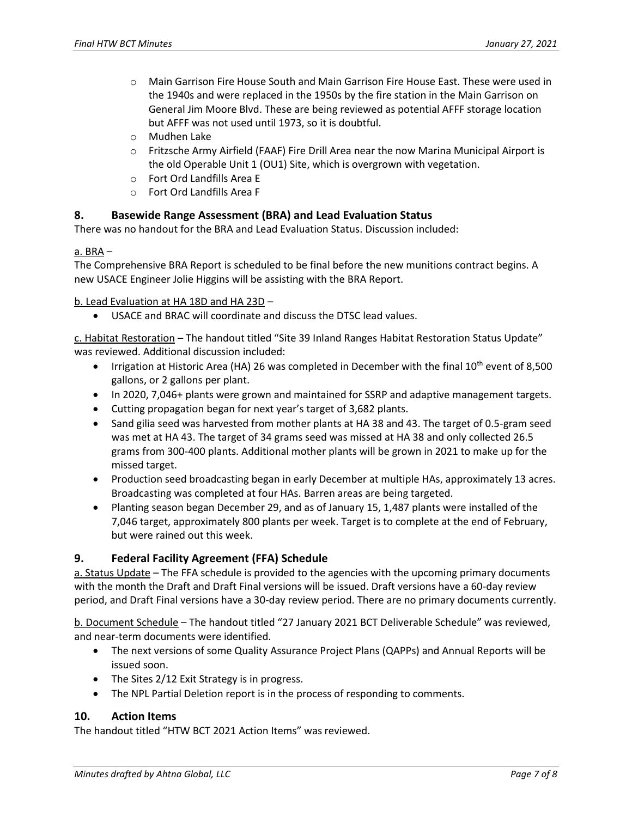- o Main Garrison Fire House South and Main Garrison Fire House East. These were used in the 1940s and were replaced in the 1950s by the fire station in the Main Garrison on General Jim Moore Blvd. These are being reviewed as potential AFFF storage location but AFFF was not used until 1973, so it is doubtful.
- o Mudhen Lake
- o Fritzsche Army Airfield (FAAF) Fire Drill Area near the now Marina Municipal Airport is the old Operable Unit 1 (OU1) Site, which is overgrown with vegetation.
- o Fort Ord Landfills Area E
- o Fort Ord Landfills Area F

#### **8. Basewide Range Assessment (BRA) and Lead Evaluation Status**

There was no handout for the BRA and Lead Evaluation Status. Discussion included:

#### a. BRA –

The Comprehensive BRA Report is scheduled to be final before the new munitions contract begins. A new USACE Engineer Jolie Higgins will be assisting with the BRA Report.

b. Lead Evaluation at HA 18D and HA 23D –

USACE and BRAC will coordinate and discuss the DTSC lead values.

c. Habitat Restoration – The handout titled "Site 39 Inland Ranges Habitat Restoration Status Update" was reviewed. Additional discussion included:

- Irrigation at Historic Area (HA) 26 was completed in December with the final  $10^{th}$  event of 8,500 gallons, or 2 gallons per plant.
- In 2020, 7,046+ plants were grown and maintained for SSRP and adaptive management targets.
- Cutting propagation began for next year's target of 3,682 plants.
- Sand gilia seed was harvested from mother plants at HA 38 and 43. The target of 0.5-gram seed was met at HA 43. The target of 34 grams seed was missed at HA 38 and only collected 26.5 grams from 300-400 plants. Additional mother plants will be grown in 2021 to make up for the missed target.
- Production seed broadcasting began in early December at multiple HAs, approximately 13 acres. Broadcasting was completed at four HAs. Barren areas are being targeted.
- Planting season began December 29, and as of January 15, 1,487 plants were installed of the 7,046 target, approximately 800 plants per week. Target is to complete at the end of February, but were rained out this week.

### **9. Federal Facility Agreement (FFA) Schedule**

a. Status Update – The FFA schedule is provided to the agencies with the upcoming primary documents with the month the Draft and Draft Final versions will be issued. Draft versions have a 60-day review period, and Draft Final versions have a 30-day review period. There are no primary documents currently.

b. Document Schedule – The handout titled "27 January 2021 BCT Deliverable Schedule" was reviewed, and near-term documents were identified.

- The next versions of some Quality Assurance Project Plans (QAPPs) and Annual Reports will be issued soon.
- The Sites 2/12 Exit Strategy is in progress.
- The NPL Partial Deletion report is in the process of responding to comments.

#### **10. Action Items**

The handout titled "HTW BCT 2021 Action Items" was reviewed.